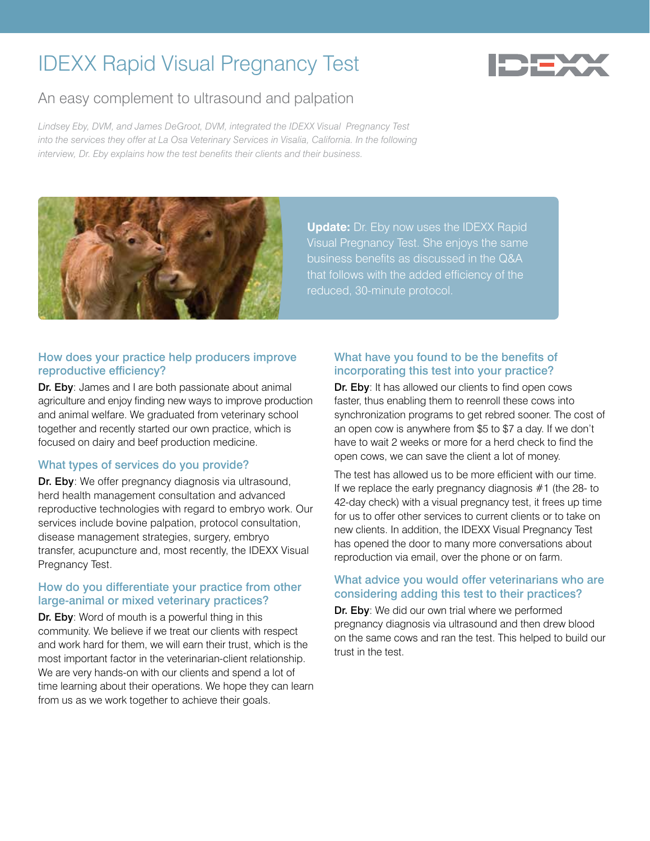# IDEXX Rapid Visual Pregnancy Test



# An easy complement to ultrasound and palpation

*Lindsey Eby, DVM, and James DeGroot, DVM, integrated the IDEXX Visual Pregnancy Test into the services they offer at La Osa Veterinary Services in Visalia, California. In the following interview, Dr. Eby explains how the test benefits their clients and their business.*



**Update:** Dr. Eby now uses the IDEXX Rapid Visual Pregnancy Test. She enjoys the same business benefits as discussed in the Q&A that follows with the added efficiency of the reduced, 30-minute protocol.

### How does your practice help producers improve reproductive efficiency?

Dr. Eby: James and I are both passionate about animal agriculture and enjoy finding new ways to improve production and animal welfare. We graduated from veterinary school together and recently started our own practice, which is focused on dairy and beef production medicine.

### What types of services do you provide?

Dr. Eby: We offer pregnancy diagnosis via ultrasound, herd health management consultation and advanced reproductive technologies with regard to embryo work. Our services include bovine palpation, protocol consultation, disease management strategies, surgery, embryo transfer, acupuncture and, most recently, the IDEXX Visual Pregnancy Test.

### How do you differentiate your practice from other large-animal or mixed veterinary practices?

Dr. Eby: Word of mouth is a powerful thing in this community. We believe if we treat our clients with respect and work hard for them, we will earn their trust, which is the most important factor in the veterinarian-client relationship. We are very hands-on with our clients and spend a lot of time learning about their operations. We hope they can learn from us as we work together to achieve their goals.

# What have you found to be the benefits of incorporating this test into your practice?

Dr. Eby: It has allowed our clients to find open cows faster, thus enabling them to reenroll these cows into synchronization programs to get rebred sooner. The cost of an open cow is anywhere from \$5 to \$7 a day. If we don't have to wait 2 weeks or more for a herd check to find the open cows, we can save the client a lot of money.

The test has allowed us to be more efficient with our time. If we replace the early pregnancy diagnosis #1 (the 28- to 42-day check) with a visual pregnancy test, it frees up time for us to offer other services to current clients or to take on new clients. In addition, the IDEXX Visual Pregnancy Test has opened the door to many more conversations about reproduction via email, over the phone or on farm.

### What advice you would offer veterinarians who are considering adding this test to their practices?

Dr. Eby: We did our own trial where we performed pregnancy diagnosis via ultrasound and then drew blood on the same cows and ran the test. This helped to build our trust in the test.